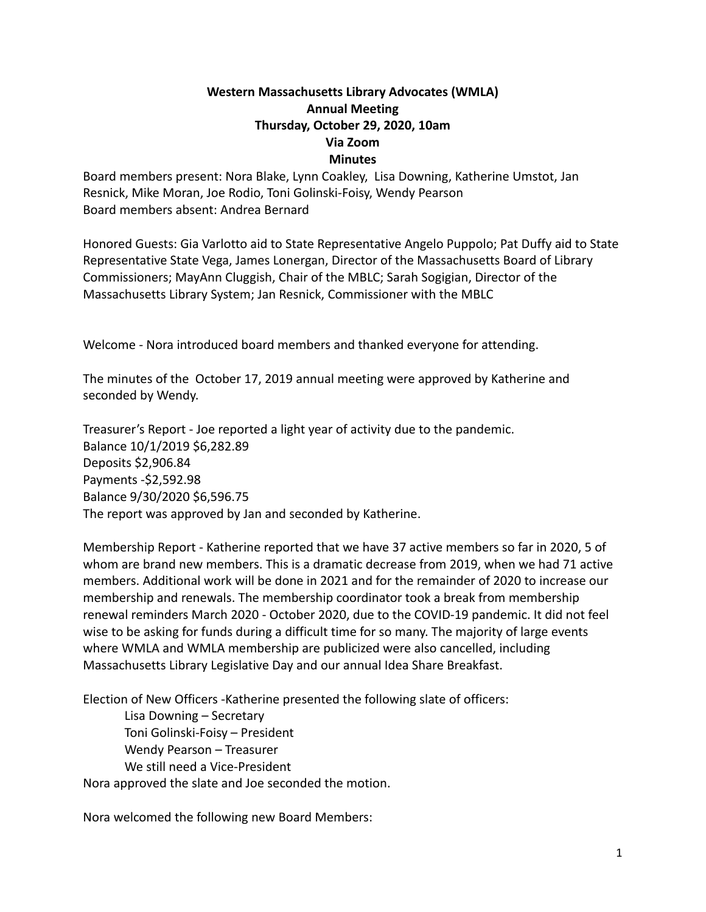## **Western Massachusetts Library Advocates (WMLA) Annual Meeting Thursday, October 29, 2020, 10am Via Zoom Minutes**

Board members present: Nora Blake, Lynn Coakley, Lisa Downing, Katherine Umstot, Jan Resnick, Mike Moran, Joe Rodio, Toni Golinski-Foisy, Wendy Pearson Board members absent: Andrea Bernard

Honored Guests: Gia Varlotto aid to State Representative Angelo Puppolo; Pat Duffy aid to State Representative State Vega, James Lonergan, Director of the Massachusetts Board of Library Commissioners; MayAnn Cluggish, Chair of the MBLC; Sarah Sogigian, Director of the Massachusetts Library System; Jan Resnick, Commissioner with the MBLC

Welcome - Nora introduced board members and thanked everyone for attending.

The minutes of the October 17, 2019 annual meeting were approved by Katherine and seconded by Wendy.

Treasurer's Report - Joe reported a light year of activity due to the pandemic. Balance 10/1/2019 \$6,282.89 Deposits \$2,906.84 Payments -\$2,592.98 Balance 9/30/2020 \$6,596.75 The report was approved by Jan and seconded by Katherine.

Membership Report - Katherine reported that we have 37 active members so far in 2020, 5 of whom are brand new members. This is a dramatic decrease from 2019, when we had 71 active members. Additional work will be done in 2021 and for the remainder of 2020 to increase our membership and renewals. The membership coordinator took a break from membership renewal reminders March 2020 - October 2020, due to the COVID-19 pandemic. It did not feel wise to be asking for funds during a difficult time for so many. The majority of large events where WMLA and WMLA membership are publicized were also cancelled, including Massachusetts Library Legislative Day and our annual Idea Share Breakfast.

Election of New Officers -Katherine presented the following slate of officers:

Lisa Downing – Secretary Toni Golinski-Foisy – President Wendy Pearson – Treasurer We still need a Vice-President Nora approved the slate and Joe seconded the motion.

Nora welcomed the following new Board Members: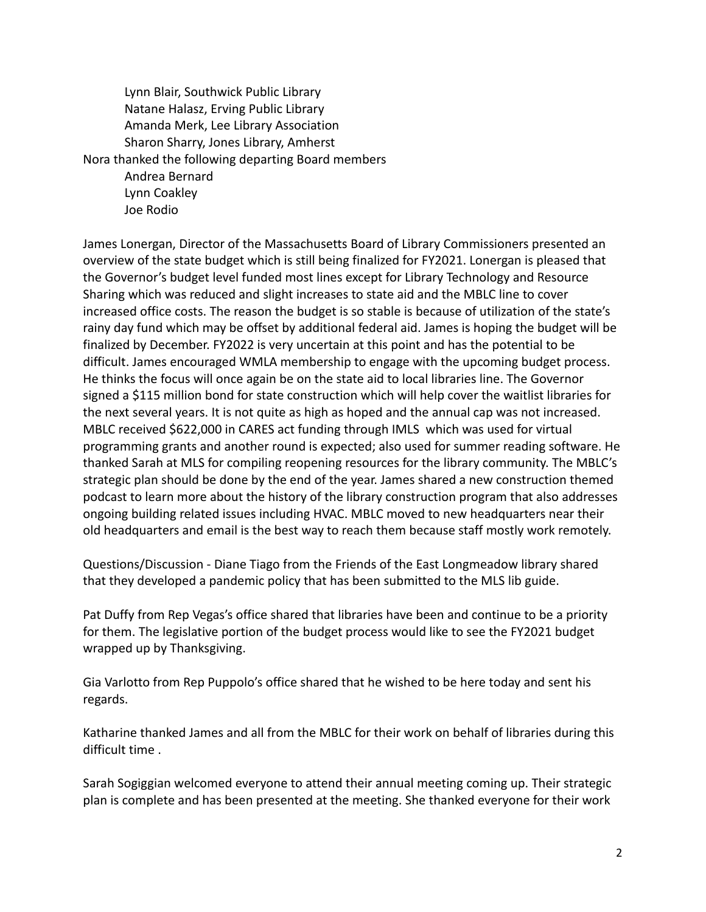Lynn Blair, Southwick Public Library Natane Halasz, Erving Public Library Amanda Merk, Lee Library Association Sharon Sharry, Jones Library, Amherst Nora thanked the following departing Board members Andrea Bernard Lynn Coakley Joe Rodio

James Lonergan, Director of the Massachusetts Board of Library Commissioners presented an overview of the state budget which is still being finalized for FY2021. Lonergan is pleased that the Governor's budget level funded most lines except for Library Technology and Resource Sharing which was reduced and slight increases to state aid and the MBLC line to cover increased office costs. The reason the budget is so stable is because of utilization of the state's rainy day fund which may be offset by additional federal aid. James is hoping the budget will be finalized by December. FY2022 is very uncertain at this point and has the potential to be difficult. James encouraged WMLA membership to engage with the upcoming budget process. He thinks the focus will once again be on the state aid to local libraries line. The Governor signed a \$115 million bond for state construction which will help cover the waitlist libraries for the next several years. It is not quite as high as hoped and the annual cap was not increased. MBLC received \$622,000 in CARES act funding through IMLS which was used for virtual programming grants and another round is expected; also used for summer reading software. He thanked Sarah at MLS for compiling reopening resources for the library community. The MBLC's strategic plan should be done by the end of the year. James shared a new construction themed podcast to learn more about the history of the library construction program that also addresses ongoing building related issues including HVAC. MBLC moved to new headquarters near their old headquarters and email is the best way to reach them because staff mostly work remotely.

Questions/Discussion - Diane Tiago from the Friends of the East Longmeadow library shared that they developed a pandemic policy that has been submitted to the MLS lib guide.

Pat Duffy from Rep Vegas's office shared that libraries have been and continue to be a priority for them. The legislative portion of the budget process would like to see the FY2021 budget wrapped up by Thanksgiving.

Gia Varlotto from Rep Puppolo's office shared that he wished to be here today and sent his regards.

Katharine thanked James and all from the MBLC for their work on behalf of libraries during this difficult time .

Sarah Sogiggian welcomed everyone to attend their annual meeting coming up. Their strategic plan is complete and has been presented at the meeting. She thanked everyone for their work